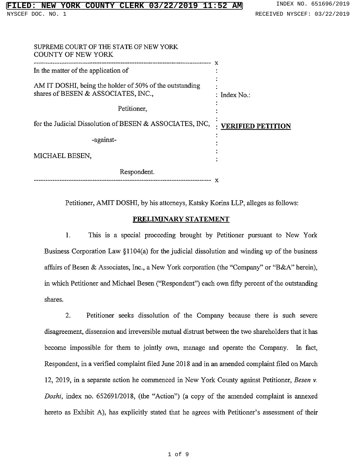| SUPREME COURT OF THE STATE OF NEW YORK<br>COUNTY OF NEW YORK                                   |                          |
|------------------------------------------------------------------------------------------------|--------------------------|
| In the matter of the application of                                                            |                          |
| AM IT DOSHI, being the holder of 50% of the outstanding<br>shares of BESEN & ASSOCIATES, INC., | : Index $No.$ :          |
| Petitioner,                                                                                    |                          |
| for the Judicial Dissolution of BESEN & ASSOCIATES, INC,                                       | <b>VERIFIED PETITION</b> |
| -against-                                                                                      |                          |
| MICHAEL BESEN,                                                                                 |                          |
| Respondent.                                                                                    |                          |

Petitioner, AMIT DOSHI, by his attorneys, Katsky Korins LLP, alleges as follows:

## PRELIMINARY STATEMENT

1. This is <sup>a</sup> special proceeding brought by Petitioner pursuant to New York Business Corporation Law §1104(a) for the judicial dissolution and winding up of the business affairs of Besen & Associates, Inc., a New York corporation (the "Company" or "B&A" herei in which Petitioner and Michael Besen ("Respondent") each own fifty percent of the outstanding shares.

2. Petitioner seeks dissolution of the Company because there is such severe disagreement, dissension and irreversible mutual distrust between the two shareholders that it has become impossible for them to jointly own, manage and operate the Company. In fact, Respondent, in a verified complaint filed June 2018 and in an amended complaint filed on March 12, 2019, in a separate action he commenced in New York County against Petitioner, Besen v. Doshi, index no. 652691/2018, (the "Action") (a copy of the amended complaint is annexed hereto as Exhibit A), has explicitly stated that he agrees with Petitioner's assessment of their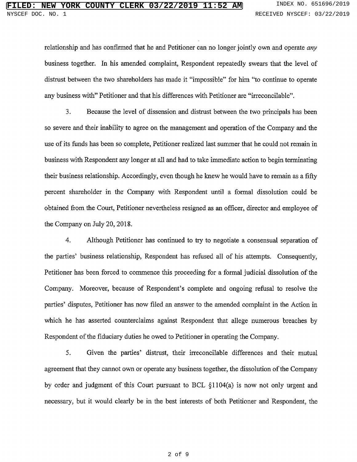relationship and has confirmed that he and Petitioner can no longer jointly own and operate *any* business together. In his amended complaint, Respondent repeatedly swears that the level of distrust between the two shareholders has made it "impossible" for him "to continue to opera any business with" Petitioner and that his differences with Petitioner are "irreconci

3. Because the level of dissension and distrust between the two principals has been so severe and their inability to agree on the management and operation of the Company and the use of its funds has been so complete, Petitioner realized last summer that he could not remain in business with Respondent any longer at all and had to take immediate action to begin terminating their business relationship. Accordingly, even though he knew he would have to remain as a fifty percent shareholder in the Company with Respondent until a formal dissolution could be obtained from the Court, Petitioner nevertheless resigned as an officer, director and employee of the Company on July 20, 2018.

4. Although Petitioner has continued to try to negotiate a consensual separation of the parties' business relationship, Respondent has refused all of his attempts. Conseque Petitioner has been forced to commence this proceeding for a formal judicial dissolution of the Company. Moreover, because of Respondent's complete and ongoing refusal to resolve the parties' disputes, Petitioner has now filed an answer to the amended complaint in the Action i which he has asserted counterclaims against Respondent that allege numerous breaches by Respondent of the fiduciary duties he owed to Petitioner in operating the Company.

5. Given the parties' distrust, their irreconcilable differences and their mutual agreement that they cannot own or operate any business together, the dissolution of the Company by order and judgment of this Court pursuant to BCL §1104(a) is now not only urgent and necessary, but it would clearly be in the best interests of both Petitioner and Respondent, the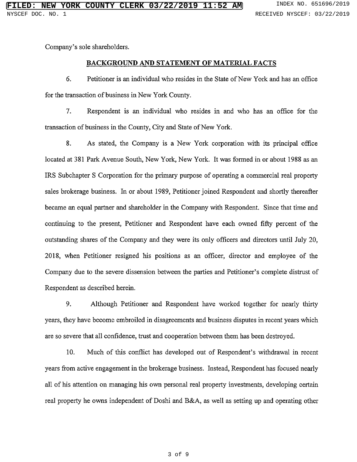Company's sole shareholders.

## BACKGROUND AND STATEMENT OF MATERIAL FACTS

6. Petitioner is an individual who resides in the State of New York and has an office for the transaction of business in New York County.

7. Respondent is an individual who resides in and who has an office for the transaction of business in the County, City and State of New York.

8. As stated, the Company is a New York corporation with its principal office located at 381 Park Avenue South, New York, New York. It was formed in or about 1988 as an IRS Subchapter S Corporation for the primary purpose of operating a commercial real property sales brokerage business. In or about 1989, Petitioner joined Respondent and shortly thereafter became an equal partner and shareholder in the Company with Respondent. Since that time and continuing to the present, Petitioner and Respondent have each owned fifty percent of the outstanding shares of the Company and they were its only officers and directors until July 20, 2018, when Petitioner resigned his positions as an officer, director and employee of the Company due to the severe dissension between the parties and Petitioner's complete distrust of Respondent as described herein.

9. Although Petitioner and Respondent have worked together for nearly thirty years, they have become embroiled in disagreements and business disputes in recent years which are so severe that all confidence, trust and cooperation between them has been destroyed.

10. Much of this conflict has developed out of Respondent's withdrawal in recent years from active engagement in the brokerage business. Instead, Respondent has focused nearly all of his attention on managing his own personal real property investments, developing certain real property he owns independent of Doshi and B&A, as well as setting up and operating other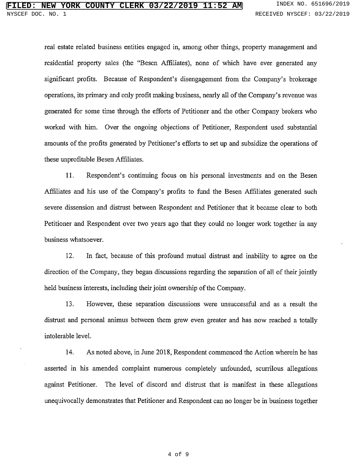real estate related business entities engaged in, among other things, property management and residential property sales (the "Besen Affiliates), none of which have ever generated any significant profits. Because of Respondent's disengagement from the Company's brokerage operations, its primary and only profit making business, nearly all of the Company's revenue was generated for some time through the efforts of Petitioner and the other Company brokers who worked with him. Over the ongoing objections of Petitioner, Respondent used substantial amounts of the profits generated by Petitioner's efforts to set up and subsidize the operations of these unprofitable Besen Affiliates.

11. Respondent's continuing focus on his personal investments and on the Besen Affiliates and his use of the Company's profits to fund the Besen Affiliates generated such severe dissension and distrust between Respondent and Petitioner that it became clear to both Petitioner and Respondent over two years ago that they could no longer work together in any business whatsoever.

12. In fact, because of this profound mutual distrust and inability to agree on the direction of the Company, they began discussions regarding the separation of all of their jointly held business interests, including their joint ownership of the Company.

13. However, these separation discussions were unsuccessful and as a result the distrust and personal animus between them grew even greater and has now reached <sup>a</sup> totally intolerable level.

14. As noted above, in June 2018, Respondent commenced the Action wherein he has asserted in his amended complaint numerous completely unfounded, scurrilous allegations against Petitioner. The level of discord and distrust that is manifest in these allegations unequivocally demonstrates that Petitioner and Respondent can no longer be in business together

### 4 of 9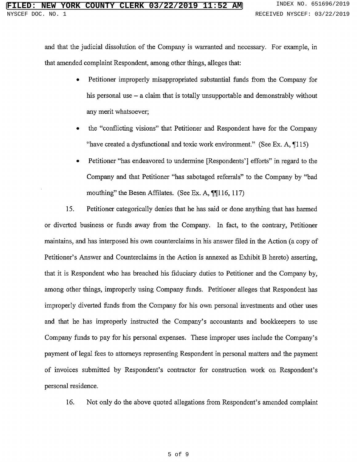and that the judicial dissolution of the Company is warranted and necessary. For example, in that amended complaint Respondent, among other things, alleges that:

- Petitioner improperly misappropriated substantial funds from the Company for his personal use – a claim that is totally unsupportable and demonstrably without any merit whatsoever;
- the "conflicting visions" that Petitioner and Respondent have for the Comp "have created a dysfunctional and toxic work environment." (See Ex. A,  $\P{11}$
- Petitioner "has endeavored to undermine [Respondents'] efforts" in regard to th Company and that Petitioner "has sabotaged referrals" to the Company by "ba mouthing" the Besen Affilates. (See Ex. A, ¶¶116, 117

15. Petitioner categorically denies that he has said or done anything that has harmed or diverted business or funds away from the Company. In fact, to the contrary, Petitioner maintains, and has interposed his own counterclaims in his answer filed in the Action (a copy of Petitioner's Answer and Counterclaims in the Action is annexed as Exhibit B hereto) asserting, that it is Respondent who has breached his fiduciary duties to Petitioner and the Company by, among other things, improperly using Company funds. Petitioner alleges that Respondent has improperly diverted funds from the Company for his own personal investments and other uses and that he has improperly instructed the Company's accountants and bookkeepers to use Company funds to pay for his personal expenses. These improper uses include the Company's payment of legal fees to attorneys representing Respondent in personal matters and the payment of invoices submitted by Respondent's contractor for construction work on Respondent's personal residence.

16. Not only do the above quoted allegations from Respondent's amended complaint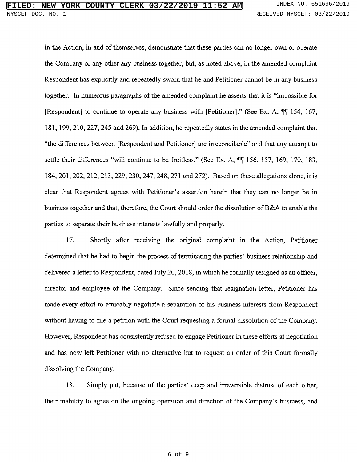in the Action, in and of themselves, demonstrate that these parties can no longer own or operate the Company or any other any business together, but, as noted above, in the amended complaint Respondent has explicitly and repeatedly sworn that he and Petitioner cannot be in any business together. In numerous paragraphs of the amended complaint he asserts that it is "impossible for [Respondent] to continue to operate any business with [Petitioner]." (See Ex. A, ¶¶ 154, 167 181, 199, 210, 227, 245 and 269). In addition, he repeatedly states in the amended complaint that "the differences between [Respondent and Petitioner] are irreconcilable" and that any attempt to settle their differences "will continue to be fruitless." (See Ex. A, ¶¶ 156, 157, 169, 170, 18. 184, 201, 202, 212, 213, 229, 230, 247, 248, 271 and 272). Based on these allegations alone, it is clear that Respondent agrees with Petitioner's assertion herein that they can no longer be in business together and that, therefore, the Court should order the dissolution of B&A to enable the parties to separate their business interests lawfully and properly.

17. Shortly after receiving the original complaint in the Action, Petitioner determined that he had to begin the process of terminating the parties' business relationship an delivered a letter to Respondent, dated July 20, 2018, in which he formally resigned as an officer, director and employee of the Company. Since sending that resignation letter, Petitioner has made every effort to amicably negotiate a separation of his business interests from Respondent without having to file a petition with the Court requesting a formal dissolution of the Company. However, Respondent has consistently refused to engage Petitioner in these efforts at negotiation and has now left Petitioner with no alternative but to request an order of this Court formally dissolving the Company.

18. Simply put, because of the parties' deep and irreversible distrust of each other their inability to agree on the ongoing operation and direction of the Company's business, and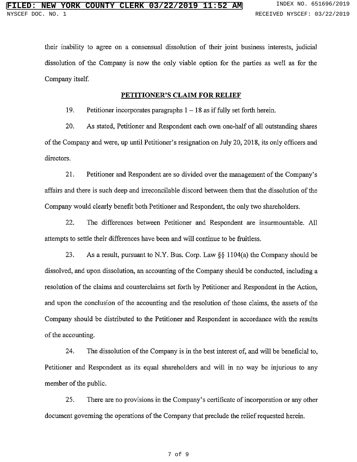their inability to agree on a consensual dissolution of their joint business interests, judicial dissolution of the Company is now the only viable option for the parties as well as for the Company itself.

## PETITIONER'S CLAIM FOR RELIEF

19. Petitioner incorporates paragraphs  $1 - 18$  as if fully set forth here

20. As stated, Petitioner and Respondent each own one-half of all outstanding shares of the Company and were, up until Petitioner's resignation on July 20, 2018, its only officers and directors.

21. Petitioner and Respondent are so divided over the management of the Company's affairs and there is such deep and irreconcilable discord between them that the dissolution of the Company would clearly benefit both Petitioner and Respondent, the only two shareholders.

22. The differences between Petitioner and Respondent are insurmountable. All attempts to settle their differences have been and will continue to be fruitless.

23. As <sup>a</sup> result, pursuant to N.Y. Bus. Corp. Law §§ 1104(a) the Company should be dissolved, and upon dissolution, an accounting of the Company should be conducted, including a resolution of the claims and counterclaims set forth by Petitioner and Respondent in the Action, and upon the conclusion of the accounting and the resolution of those claims, the assets of the Company should be distributed to the Petitioner and Respondent in accordance with the results of the accounting.

24. The dissolution of the Company is in the best interest of, and will be beneficial to, Petitioner and Respondent as its equal shareholders and will in no way be injurious to any member of the public.

25. There are no provisions in the Company's certificate of incorporation or any other document governing the operations of the Company that preclude the relief requested herein.

### 7 of 9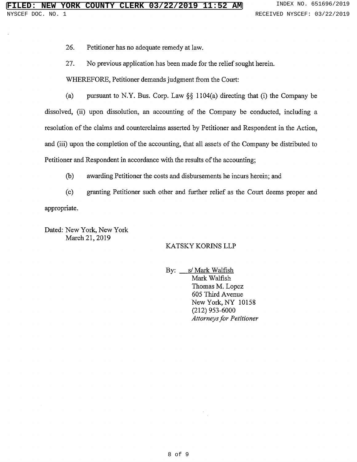26. Petitioner has no adequate remedy at law.

27. No previous application has been made for the relief sought herein.

WHEREFORE, Petitioner demands judgment from the Court:

(a) pursuant to N.Y. Bus. Corp. Law §§ 1104(a) directing that (i) the Company be dissolved, (ii) upon dissolution, an accounting of the Company be conducted, including a resolution of the claims and counterclaims asserted by Petitioner and Respondent in the Action, and (iii) upon the completion of the accounting, that all assets of the Company be distributed to Petitioner and Respondent in accordance with the results of the accounting;

(b) awarding Petitioner the costs and disbursements he incurs herein; and

(c) granting Petitioner such other and further relief as the Court deems proper and appropriate.

Dated: New York, New York March 21, 2019

# KATSKY KORINS LLP

By: \_ s/ Mark Walfish Mark Walfish Thomas M. Lopez 605 Third Avenue New York, NY <sup>10158</sup> (212) 953-6000 Attorneys for Petitioner